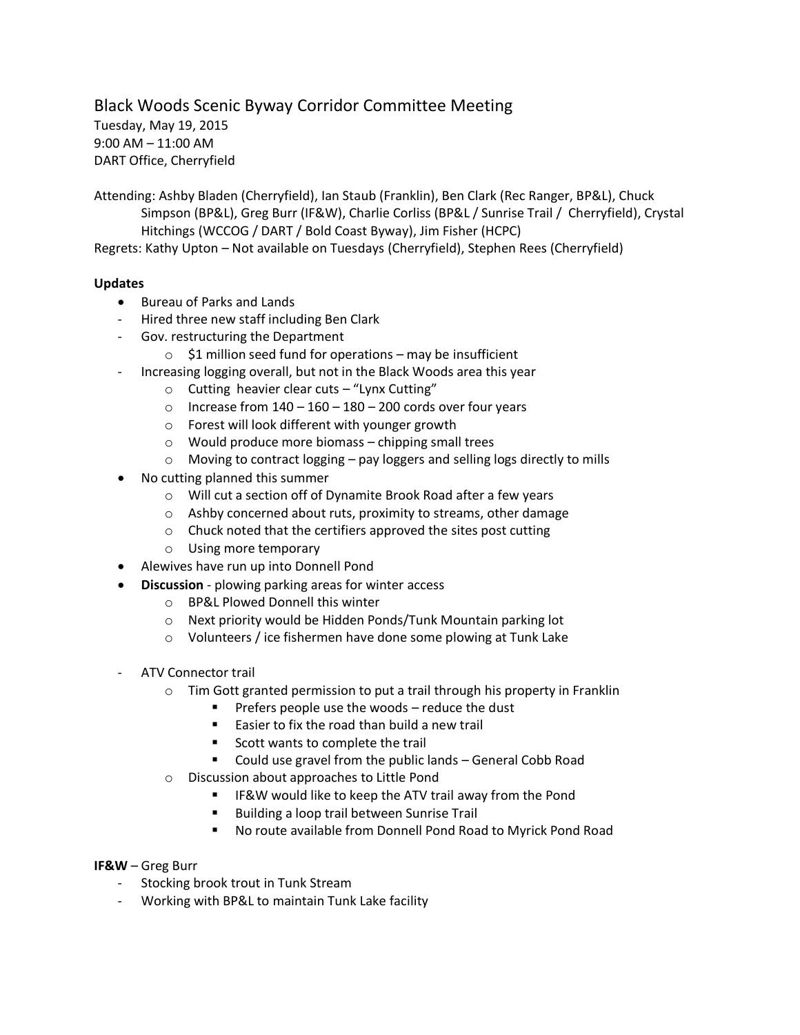Black Woods Scenic Byway Corridor Committee Meeting

Tuesday, May 19, 2015 9:00 AM – 11:00 AM DART Office, Cherryfield

Attending: Ashby Bladen (Cherryfield), Ian Staub (Franklin), Ben Clark (Rec Ranger, BP&L), Chuck Simpson (BP&L), Greg Burr (IF&W), Charlie Corliss (BP&L / Sunrise Trail / Cherryfield), Crystal Hitchings (WCCOG / DART / Bold Coast Byway), Jim Fisher (HCPC) Regrets: Kathy Upton – Not available on Tuesdays (Cherryfield), Stephen Rees (Cherryfield)

## **Updates**

- Bureau of Parks and Lands
- Hired three new staff including Ben Clark
- Gov. restructuring the Department
	- $\circ$  \$1 million seed fund for operations may be insufficient
- Increasing logging overall, but not in the Black Woods area this year
	- $\circ$  Cutting heavier clear cuts "Lynx Cutting"
	- o Increase from  $140 160 180 200$  cords over four years
	- o Forest will look different with younger growth
	- o Would produce more biomass chipping small trees
	- $\circ$  Moving to contract logging pay loggers and selling logs directly to mills
- No cutting planned this summer
	- o Will cut a section off of Dynamite Brook Road after a few years
	- o Ashby concerned about ruts, proximity to streams, other damage
	- o Chuck noted that the certifiers approved the sites post cutting
	- o Using more temporary
- Alewives have run up into Donnell Pond
- **Discussion** plowing parking areas for winter access
	- o BP&L Plowed Donnell this winter
	- o Next priority would be Hidden Ponds/Tunk Mountain parking lot
	- o Volunteers / ice fishermen have done some plowing at Tunk Lake
- ATV Connector trail
	- o Tim Gott granted permission to put a trail through his property in Franklin
		- $\blacksquare$  Prefers people use the woods reduce the dust
		- **Easier to fix the road than build a new trail**
		- Scott wants to complete the trail
		- Could use gravel from the public lands General Cobb Road
	- o Discussion about approaches to Little Pond
		- IF&W would like to keep the ATV trail away from the Pond
		- **Building a loop trail between Sunrise Trail**
		- No route available from Donnell Pond Road to Myrick Pond Road
- **IF&W** Greg Burr
	- Stocking brook trout in Tunk Stream
	- Working with BP&L to maintain Tunk Lake facility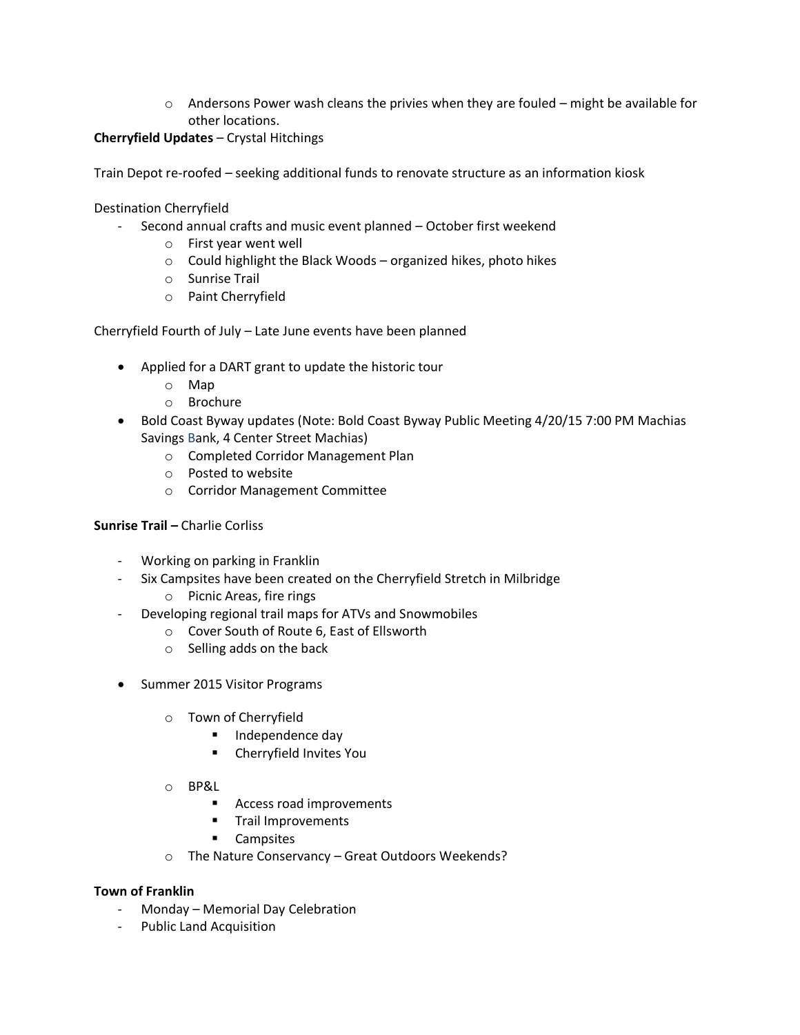$\circ$  Andersons Power wash cleans the privies when they are fouled – might be available for other locations.

## **Cherryfield Updates** – Crystal Hitchings

Train Depot re-roofed – seeking additional funds to renovate structure as an information kiosk

Destination Cherryfield

- Second annual crafts and music event planned October first weekend
	- o First year went well
	- $\circ$  Could highlight the Black Woods organized hikes, photo hikes
	- o Sunrise Trail
	- o Paint Cherryfield

Cherryfield Fourth of July – Late June events have been planned

- Applied for a DART grant to update the historic tour
	- o Map
	- o Brochure
- Bold Coast Byway updates (Note: Bold Coast Byway Public Meeting 4/20/15 7:00 PM Machias Savings Bank, 4 Center Street Machias)
	- o Completed Corridor Management Plan
	- o Posted to website
	- o Corridor Management Committee

## **Sunrise Trail –** Charlie Corliss

- Working on parking in Franklin
- Six Campsites have been created on the Cherryfield Stretch in Milbridge
	- o Picnic Areas, fire rings
- Developing regional trail maps for ATVs and Snowmobiles
	- o Cover South of Route 6, East of Ellsworth
	- o Selling adds on the back
- Summer 2015 Visitor Programs
	- o Town of Cherryfield
		- **Independence day**
		- Cherryfield Invites You
	- o BP&L
		- Access road improvements
		- **Trail Improvements**
		- **-** Campsites
	- o The Nature Conservancy Great Outdoors Weekends?

## **Town of Franklin**

- Monday Memorial Day Celebration
- Public Land Acquisition